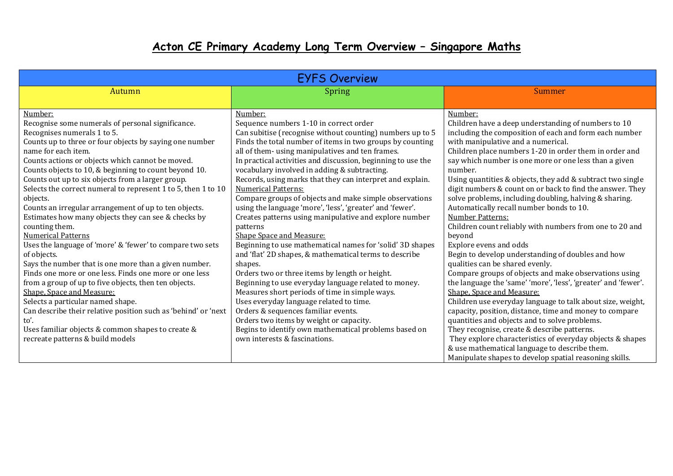## **Acton CE Primary Academy Long Term Overview – Singapore Maths**

| <b>EYFS Overview</b>                                                                                                                                                                                                                                                                                                                                                                                                                                                                                                                                                                                                                                                                                                                                                                                                                                                                                                                                                                                                                                                                     |                                                                                                                                                                                                                                                                                                                                                                                                                                                                                                                                                                                                                                                                                                                                                                                                                                                                                                                                                                                                                                                                                                                                                                                                 |                                                                                                                                                                                                                                                                                                                                                                                                                                                                                                                                                                                                                                                                                                                                                                                                                                                                                                                                                                                                                                                                                                                                                                                                                                         |  |  |
|------------------------------------------------------------------------------------------------------------------------------------------------------------------------------------------------------------------------------------------------------------------------------------------------------------------------------------------------------------------------------------------------------------------------------------------------------------------------------------------------------------------------------------------------------------------------------------------------------------------------------------------------------------------------------------------------------------------------------------------------------------------------------------------------------------------------------------------------------------------------------------------------------------------------------------------------------------------------------------------------------------------------------------------------------------------------------------------|-------------------------------------------------------------------------------------------------------------------------------------------------------------------------------------------------------------------------------------------------------------------------------------------------------------------------------------------------------------------------------------------------------------------------------------------------------------------------------------------------------------------------------------------------------------------------------------------------------------------------------------------------------------------------------------------------------------------------------------------------------------------------------------------------------------------------------------------------------------------------------------------------------------------------------------------------------------------------------------------------------------------------------------------------------------------------------------------------------------------------------------------------------------------------------------------------|-----------------------------------------------------------------------------------------------------------------------------------------------------------------------------------------------------------------------------------------------------------------------------------------------------------------------------------------------------------------------------------------------------------------------------------------------------------------------------------------------------------------------------------------------------------------------------------------------------------------------------------------------------------------------------------------------------------------------------------------------------------------------------------------------------------------------------------------------------------------------------------------------------------------------------------------------------------------------------------------------------------------------------------------------------------------------------------------------------------------------------------------------------------------------------------------------------------------------------------------|--|--|
| Autumn                                                                                                                                                                                                                                                                                                                                                                                                                                                                                                                                                                                                                                                                                                                                                                                                                                                                                                                                                                                                                                                                                   | Spring                                                                                                                                                                                                                                                                                                                                                                                                                                                                                                                                                                                                                                                                                                                                                                                                                                                                                                                                                                                                                                                                                                                                                                                          | Summer                                                                                                                                                                                                                                                                                                                                                                                                                                                                                                                                                                                                                                                                                                                                                                                                                                                                                                                                                                                                                                                                                                                                                                                                                                  |  |  |
|                                                                                                                                                                                                                                                                                                                                                                                                                                                                                                                                                                                                                                                                                                                                                                                                                                                                                                                                                                                                                                                                                          |                                                                                                                                                                                                                                                                                                                                                                                                                                                                                                                                                                                                                                                                                                                                                                                                                                                                                                                                                                                                                                                                                                                                                                                                 |                                                                                                                                                                                                                                                                                                                                                                                                                                                                                                                                                                                                                                                                                                                                                                                                                                                                                                                                                                                                                                                                                                                                                                                                                                         |  |  |
| Number:<br>Recognise some numerals of personal significance.<br>Recognises numerals 1 to 5.<br>Counts up to three or four objects by saying one number<br>name for each item.<br>Counts actions or objects which cannot be moved.<br>Counts objects to 10, & beginning to count beyond 10.<br>Counts out up to six objects from a larger group.<br>Selects the correct numeral to represent 1 to 5, then 1 to 10<br>objects.<br>Counts an irregular arrangement of up to ten objects.<br>Estimates how many objects they can see & checks by<br>counting them.<br><b>Numerical Patterns</b><br>Uses the language of 'more' & 'fewer' to compare two sets<br>of objects.<br>Says the number that is one more than a given number.<br>Finds one more or one less. Finds one more or one less<br>from a group of up to five objects, then ten objects.<br>Shape, Space and Measure:<br>Selects a particular named shape.<br>Can describe their relative position such as 'behind' or 'next<br>to'.<br>Uses familiar objects & common shapes to create &<br>recreate patterns & build models | Number:<br>Sequence numbers 1-10 in correct order<br>Can subitise (recognise without counting) numbers up to 5<br>Finds the total number of items in two groups by counting<br>all of them- using manipulatives and ten frames.<br>In practical activities and discussion, beginning to use the<br>vocabulary involved in adding & subtracting.<br>Records, using marks that they can interpret and explain.<br><b>Numerical Patterns:</b><br>Compare groups of objects and make simple observations<br>using the language 'more', 'less', 'greater' and 'fewer'.<br>Creates patterns using manipulative and explore number<br>patterns<br><b>Shape Space and Measure:</b><br>Beginning to use mathematical names for 'solid' 3D shapes<br>and 'flat' 2D shapes, & mathematical terms to describe<br>shapes.<br>Orders two or three items by length or height.<br>Beginning to use everyday language related to money.<br>Measures short periods of time in simple ways.<br>Uses everyday language related to time.<br>Orders & sequences familiar events.<br>Orders two items by weight or capacity.<br>Begins to identify own mathematical problems based on<br>own interests & fascinations. | Number:<br>Children have a deep understanding of numbers to 10<br>including the composition of each and form each number<br>with manipulative and a numerical.<br>Children place numbers 1-20 in order them in order and<br>say which number is one more or one less than a given<br>number.<br>Using quantities & objects, they add & subtract two single<br>digit numbers & count on or back to find the answer. They<br>solve problems, including doubling, halving & sharing.<br>Automatically recall number bonds to 10.<br>Number Patterns:<br>Children count reliably with numbers from one to 20 and<br>beyond<br>Explore evens and odds<br>Begin to develop understanding of doubles and how<br>qualities can be shared evenly.<br>Compare groups of objects and make observations using<br>the language the 'same' 'more', 'less', 'greater' and 'fewer'.<br>Shape, Space and Measure:<br>Children use everyday language to talk about size, weight,<br>capacity, position, distance, time and money to compare<br>quantities and objects and to solve problems.<br>They recognise, create & describe patterns.<br>They explore characteristics of everyday objects & shapes<br>& use mathematical language to describe them. |  |  |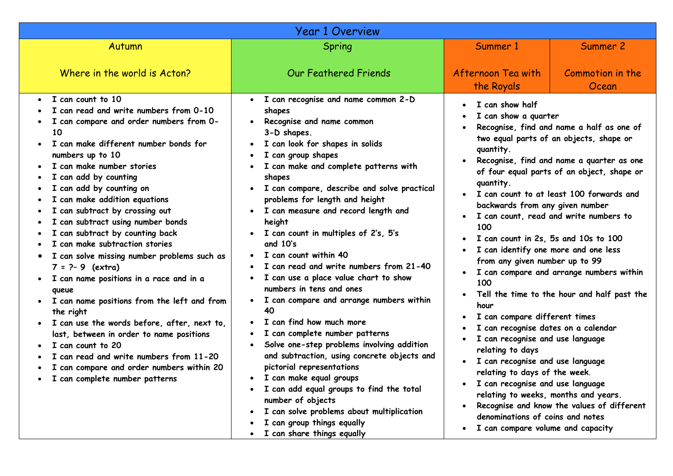|                                                                                                                                                                                                                                                                                                                                                                                                                                                                                                                                                                                                                                                                                                                                                                                                                                                                                         | <b>Year 1 Overview</b>                                                                                                                                                                                                                                                                                                                                                                                                                                                                                                                                                                                                                                                                                                                                                                                                                                                                                                                                                                                                                             |                                                                                                                                                                                                                                                                                                                                                                                                                                                                                                                                                                                                                     |                                                                                                                                                                                                                                                                                                                                                                                                                |
|-----------------------------------------------------------------------------------------------------------------------------------------------------------------------------------------------------------------------------------------------------------------------------------------------------------------------------------------------------------------------------------------------------------------------------------------------------------------------------------------------------------------------------------------------------------------------------------------------------------------------------------------------------------------------------------------------------------------------------------------------------------------------------------------------------------------------------------------------------------------------------------------|----------------------------------------------------------------------------------------------------------------------------------------------------------------------------------------------------------------------------------------------------------------------------------------------------------------------------------------------------------------------------------------------------------------------------------------------------------------------------------------------------------------------------------------------------------------------------------------------------------------------------------------------------------------------------------------------------------------------------------------------------------------------------------------------------------------------------------------------------------------------------------------------------------------------------------------------------------------------------------------------------------------------------------------------------|---------------------------------------------------------------------------------------------------------------------------------------------------------------------------------------------------------------------------------------------------------------------------------------------------------------------------------------------------------------------------------------------------------------------------------------------------------------------------------------------------------------------------------------------------------------------------------------------------------------------|----------------------------------------------------------------------------------------------------------------------------------------------------------------------------------------------------------------------------------------------------------------------------------------------------------------------------------------------------------------------------------------------------------------|
| Autumn                                                                                                                                                                                                                                                                                                                                                                                                                                                                                                                                                                                                                                                                                                                                                                                                                                                                                  | Spring                                                                                                                                                                                                                                                                                                                                                                                                                                                                                                                                                                                                                                                                                                                                                                                                                                                                                                                                                                                                                                             | Summer 1                                                                                                                                                                                                                                                                                                                                                                                                                                                                                                                                                                                                            | Summer 2                                                                                                                                                                                                                                                                                                                                                                                                       |
| Where in the world is Acton?                                                                                                                                                                                                                                                                                                                                                                                                                                                                                                                                                                                                                                                                                                                                                                                                                                                            | <b>Our Feathered Friends</b>                                                                                                                                                                                                                                                                                                                                                                                                                                                                                                                                                                                                                                                                                                                                                                                                                                                                                                                                                                                                                       | Afternoon Tea with<br>the Royals                                                                                                                                                                                                                                                                                                                                                                                                                                                                                                                                                                                    | Commotion in the<br>Ocean                                                                                                                                                                                                                                                                                                                                                                                      |
| I can count to 10<br>I can read and write numbers from 0-10<br>I can compare and order numbers from 0-<br>10<br>I can make different number bonds for<br>numbers up to 10<br>I can make number stories<br>I can add by counting<br>I can add by counting on<br>I can make addition equations<br>I can subtract by crossing out<br>I can subtract using number bonds<br>I can subtract by counting back<br>I can make subtraction stories<br>I can solve missing number problems such as<br>$\bullet$<br>$7 = ? - 9$ (extra)<br>I can name positions in a race and in a<br>queue<br>I can name positions from the left and from<br>the right<br>· I can use the words before, after, next to,<br>last, between in order to name positions<br>I can count to 20<br>I can read and write numbers from 11-20<br>I can compare and order numbers within 20<br>I can complete number patterns | I can recognise and name common 2-D<br>$\bullet$<br>shapes<br>Recognise and name common<br>$\bullet$<br>3-D shapes.<br>I can look for shapes in solids<br>I can group shapes<br>$\bullet$<br>I can make and complete patterns with<br>shapes<br>I can compare, describe and solve practical<br>$\bullet$<br>problems for length and height<br>I can measure and record length and<br>height<br>I can count in multiples of 2's, 5's<br>and 10's<br>I can count within 40<br>I can read and write numbers from 21-40<br>I can use a place value chart to show<br>numbers in tens and ones<br>I can compare and arrange numbers within<br>$\bullet$<br>40<br>I can find how much more<br>I can complete number patterns<br>Solve one-step problems involving addition<br>$\bullet$<br>and subtraction, using concrete objects and<br>pictorial representations<br>· I can make equal groups<br>I can add equal groups to find the total<br>number of objects<br>I can solve problems about multiplication<br>$\bullet$<br>I can group things equally | I can show half<br>I can show a quarter<br>quantity.<br>quantity.<br>backwards from any given number<br>100<br>I can count in 2s, 5s and 10s to 100<br>I can identify one more and one less<br>from any given number up to 99<br>100<br>$\bullet$<br>hour<br>I can compare different times<br>I can recognise dates on a calendar<br>I can recognise and use language<br>relating to days<br>I can recognise and use language<br>relating to days of the week.<br>I can recognise and use language<br>relating to weeks, months and years.<br>denominations of coins and notes<br>I can compare volume and capacity | Recognise, find and name a half as one of<br>two equal parts of an objects, shape or<br>Recognise, find and name a quarter as one<br>of four equal parts of an object, shape or<br>I can count to at least 100 forwards and<br>I can count, read and write numbers to<br>I can compare and arrange numbers within<br>Tell the time to the hour and half past the<br>Recognise and know the values of different |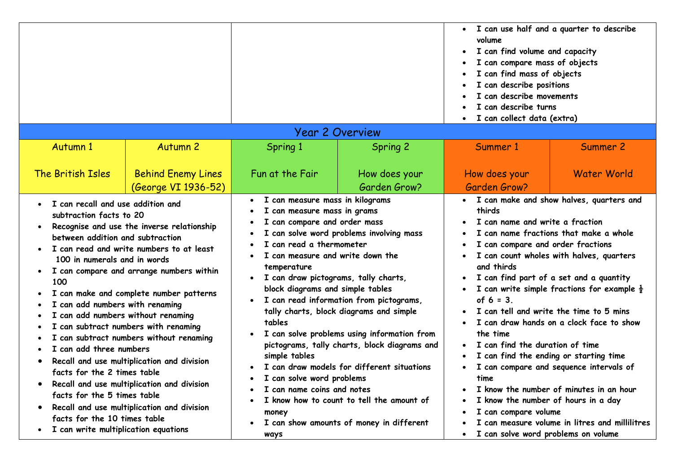|                                                                                                                                                                                                                                                                                                                                                                                                        |                                                                                                                                                                                                                                                                                                                                                                                                          |                                                                                                                                                                                                                                                                                                                                            |                                                                                                                                                                                                                                                                                                                                                                      | • I can use half and a quarter to describe<br>volume<br>I can find volume and capacity<br>I can compare mass of objects<br>I can find mass of objects<br>I can describe positions<br>I can describe movements<br>I can describe turns<br>I can collect data (extra)       |                                                                                                                                                                                                                                                                                                                                                                                                                                                                  |  |  |  |  |
|--------------------------------------------------------------------------------------------------------------------------------------------------------------------------------------------------------------------------------------------------------------------------------------------------------------------------------------------------------------------------------------------------------|----------------------------------------------------------------------------------------------------------------------------------------------------------------------------------------------------------------------------------------------------------------------------------------------------------------------------------------------------------------------------------------------------------|--------------------------------------------------------------------------------------------------------------------------------------------------------------------------------------------------------------------------------------------------------------------------------------------------------------------------------------------|----------------------------------------------------------------------------------------------------------------------------------------------------------------------------------------------------------------------------------------------------------------------------------------------------------------------------------------------------------------------|---------------------------------------------------------------------------------------------------------------------------------------------------------------------------------------------------------------------------------------------------------------------------|------------------------------------------------------------------------------------------------------------------------------------------------------------------------------------------------------------------------------------------------------------------------------------------------------------------------------------------------------------------------------------------------------------------------------------------------------------------|--|--|--|--|
| <b>Year 2 Overview</b><br><b>Autumn 1</b><br><b>Autumn 2</b><br>Spring 1<br>Spring 2<br>Summer 2<br>Summer 1                                                                                                                                                                                                                                                                                           |                                                                                                                                                                                                                                                                                                                                                                                                          |                                                                                                                                                                                                                                                                                                                                            |                                                                                                                                                                                                                                                                                                                                                                      |                                                                                                                                                                                                                                                                           |                                                                                                                                                                                                                                                                                                                                                                                                                                                                  |  |  |  |  |
| The British Isles                                                                                                                                                                                                                                                                                                                                                                                      | <b>Behind Enemy Lines</b><br>(George VI 1936-52)                                                                                                                                                                                                                                                                                                                                                         | Fun at the Fair<br>I can measure mass in kilograms                                                                                                                                                                                                                                                                                         | How does your<br>Garden Grow?                                                                                                                                                                                                                                                                                                                                        | How does your<br>Garden Grow?                                                                                                                                                                                                                                             | <b>Water World</b><br>• I can make and show halves, quarters and                                                                                                                                                                                                                                                                                                                                                                                                 |  |  |  |  |
| • I can recall and use addition and<br>subtraction facts to 20<br>$\bullet$<br>between addition and subtraction<br>100 in numerals and in words<br>100<br>I can add numbers with renaming<br>I can add numbers without renaming<br>I.<br>I can add three numbers<br>facts for the 2 times table<br>facts for the 5 times table<br>facts for the 10 times table<br>I can write multiplication equations | Recognise and use the inverse relationship<br>I can read and write numbers to at least<br>I can compare and arrange numbers within<br>I can make and complete number patterns<br>I can subtract numbers with renaming<br>can subtract numbers without renaming<br>Recall and use multiplication and division<br>Recall and use multiplication and division<br>Recall and use multiplication and division | I can measure mass in grams<br>I can compare and order mass<br>I can read a thermometer<br>I can measure and write down the<br>temperature<br>I can draw pictograms, tally charts,<br>block diagrams and simple tables<br>tables<br>simple tables<br>I can solve word problems<br>I can name coins and notes<br>money<br>$\bullet$<br>ways | I can solve word problems involving mass<br>I can read information from pictograms,<br>tally charts, block diagrams and simple<br>I can solve problems using information from<br>pictograms, tally charts, block diagrams and<br>I can draw models for different situations<br>I know how to count to tell the amount of<br>I can show amounts of money in different | thirds<br>I can name and write a fraction<br>I can compare and order fractions<br>and thirds<br>of $6 = 3$ .<br>the time<br>I can find the duration of time<br>time<br>I know the number of hours in a day<br>I can compare volume<br>I can solve word problems on volume | I can name fractions that make a whole<br>I can count wholes with halves, quarters<br>I can find part of a set and a quantity<br>I can write simple fractions for example $\frac{1}{2}$<br>I can tell and write the time to 5 mins<br>I can draw hands on a clock face to show<br>I can find the ending or starting time<br>I can compare and sequence intervals of<br>I know the number of minutes in an hour<br>I can measure volume in litres and millilitres |  |  |  |  |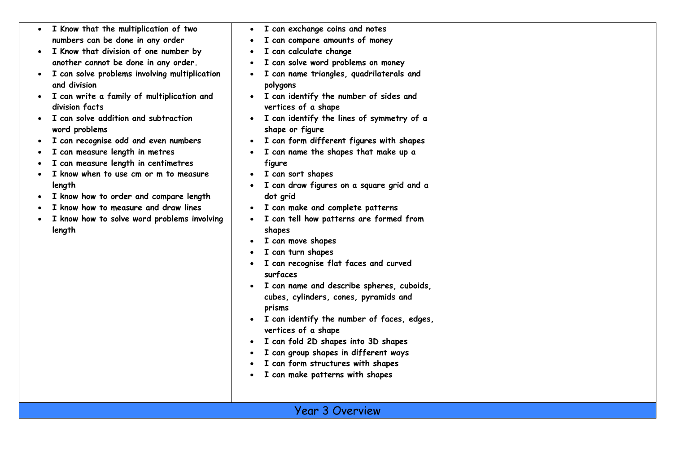| • I Know that the multiplication of two                       | I can exchange coins and notes<br>$\bullet$                                |  |
|---------------------------------------------------------------|----------------------------------------------------------------------------|--|
| numbers can be done in any order                              | I can compare amounts of money<br>$\bullet$                                |  |
| I Know that division of one number by                         | I can calculate change                                                     |  |
| another cannot be done in any order.                          | I can solve word problems on money                                         |  |
| I can solve problems involving multiplication<br>and division | I can name triangles, quadrilaterals and<br>polygons                       |  |
| I can write a family of multiplication and<br>division facts  | I can identify the number of sides and<br>$\bullet$<br>vertices of a shape |  |
| I can solve addition and subtraction<br>word problems         | I can identify the lines of symmetry of a<br>$\bullet$<br>shape or figure  |  |
| I can recognise odd and even numbers                          | I can form different figures with shapes                                   |  |
| I can measure length in metres                                | I can name the shapes that make up a                                       |  |
| I can measure length in centimetres                           | figure                                                                     |  |
| I know when to use cm or m to measure                         | I can sort shapes                                                          |  |
| length                                                        | I can draw figures on a square grid and a                                  |  |
| I know how to order and compare length                        | dot grid                                                                   |  |
| I know how to measure and draw lines                          | I can make and complete patterns<br>$\bullet$                              |  |
| I know how to solve word problems involving                   | I can tell how patterns are formed from<br>٠                               |  |
| length                                                        | shapes                                                                     |  |
|                                                               | I can move shapes                                                          |  |
|                                                               | I can turn shapes                                                          |  |
|                                                               | I can recognise flat faces and curved<br>surfaces                          |  |
|                                                               | I can name and describe spheres, cuboids,                                  |  |
|                                                               | cubes, cylinders, cones, pyramids and<br>prisms                            |  |
|                                                               | I can identify the number of faces, edges,                                 |  |
|                                                               | vertices of a shape                                                        |  |
|                                                               | I can fold 2D shapes into 3D shapes                                        |  |
|                                                               | I can group shapes in different ways                                       |  |
|                                                               | I can form structures with shapes                                          |  |
|                                                               | I can make patterns with shapes                                            |  |
|                                                               |                                                                            |  |
|                                                               |                                                                            |  |
|                                                               | <b>Year 3 Overview</b>                                                     |  |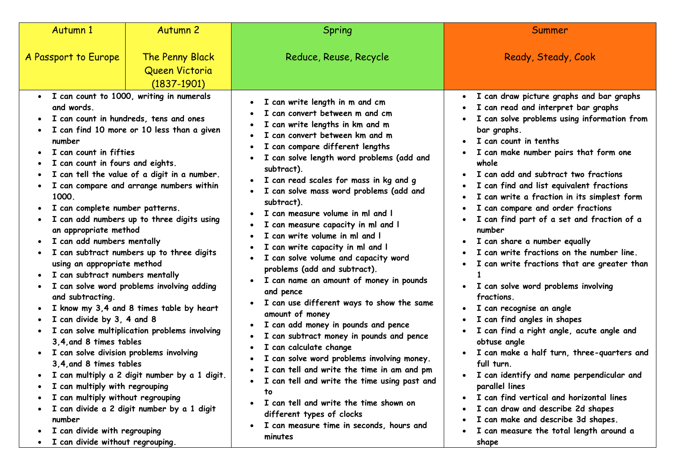| Autumn 1                                                                                                                                                                                                                                                                                                                                                                                                                                                                                                                                       | <b>Autumn 2</b>                                                                                                                                                                                                                                                                                                                                                                                                                                                                                                                              | Spring                                                                                                                                                                                                                                                                                                                                                                                                                                                                                                                                                                                                                                                                                                                                                                                                                                                                                                                                                                                                           | Summer                                                                                                                                                                                                                                                                                                                                                                                                                                                                                                                                                                                                                                                                                                                                                                                                                                                                                                                                                                                                                                |
|------------------------------------------------------------------------------------------------------------------------------------------------------------------------------------------------------------------------------------------------------------------------------------------------------------------------------------------------------------------------------------------------------------------------------------------------------------------------------------------------------------------------------------------------|----------------------------------------------------------------------------------------------------------------------------------------------------------------------------------------------------------------------------------------------------------------------------------------------------------------------------------------------------------------------------------------------------------------------------------------------------------------------------------------------------------------------------------------------|------------------------------------------------------------------------------------------------------------------------------------------------------------------------------------------------------------------------------------------------------------------------------------------------------------------------------------------------------------------------------------------------------------------------------------------------------------------------------------------------------------------------------------------------------------------------------------------------------------------------------------------------------------------------------------------------------------------------------------------------------------------------------------------------------------------------------------------------------------------------------------------------------------------------------------------------------------------------------------------------------------------|---------------------------------------------------------------------------------------------------------------------------------------------------------------------------------------------------------------------------------------------------------------------------------------------------------------------------------------------------------------------------------------------------------------------------------------------------------------------------------------------------------------------------------------------------------------------------------------------------------------------------------------------------------------------------------------------------------------------------------------------------------------------------------------------------------------------------------------------------------------------------------------------------------------------------------------------------------------------------------------------------------------------------------------|
| A Passport to Europe                                                                                                                                                                                                                                                                                                                                                                                                                                                                                                                           | The Penny Black<br>Queen Victoria                                                                                                                                                                                                                                                                                                                                                                                                                                                                                                            | Reduce, Reuse, Recycle                                                                                                                                                                                                                                                                                                                                                                                                                                                                                                                                                                                                                                                                                                                                                                                                                                                                                                                                                                                           | Ready, Steady, Cook                                                                                                                                                                                                                                                                                                                                                                                                                                                                                                                                                                                                                                                                                                                                                                                                                                                                                                                                                                                                                   |
| • I can count to 1000, writing in numerals<br>and words.<br>number<br>I can count in fifties<br>I can count in fours and eights.<br>1000.<br>I can complete number patterns.<br>an appropriate method<br>I can add numbers mentally<br>using an appropriate method<br>I can subtract numbers mentally<br>and subtracting.<br>I can divide by 3, 4 and 8<br>$\bullet$<br>3.4, and 8 times tables<br>• I can solve division problems involving<br>3,4, and 8 times tables<br>I can multiply with regrouping<br>I can multiply without regrouping | $(1837 - 1901)$<br>I can count in hundreds, tens and ones<br>I can find 10 more or 10 less than a given<br>I can tell the value of a digit in a number.<br>I can compare and arrange numbers within<br>I can add numbers up to three digits using<br>I can subtract numbers up to three digits<br>• I can solve word problems involving adding<br>I know my 3,4 and 8 times table by heart<br>• I can solve multiplication problems involving<br>I can multiply a 2 digit number by a 1 digit.<br>I can divide a 2 digit number by a 1 digit | I can write length in m and cm<br>I can convert between m and cm<br>I can write lengths in km and m<br>I can convert between km and m<br>I can compare different lengths<br>I can solve length word problems (add and<br>subtract).<br>· I can read scales for mass in kg and g<br>I can solve mass word problems (add and<br>subtract).<br>I can measure volume in ml and I<br>I can measure capacity in ml and I<br>I can write volume in ml and I<br>I can write capacity in ml and I<br>I can solve volume and capacity word<br>problems (add and subtract).<br>• I can name an amount of money in pounds<br>and pence<br>I can use different ways to show the same<br>amount of money<br>I can add money in pounds and pence<br>$\bullet$<br>I can subtract money in pounds and pence<br>I can calculate change<br>I can solve word problems involving money.<br>I can tell and write the time in am and pm<br>I can tell and write the time using past and<br>to<br>I can tell and write the time shown on | • I can draw picture graphs and bar graphs<br>• I can read and interpret bar graphs<br>I can solve problems using information from<br>bar graphs.<br>I can count in tenths<br>$\bullet$<br>I can make number pairs that form one<br>whole<br>I can add and subtract two fractions<br>I can find and list equivalent fractions<br>I can write a fraction in its simplest form<br>I can compare and order fractions<br>I can find part of a set and fraction of a<br>number<br>I can share a number equally<br>$\bullet$<br>I can write fractions on the number line.<br>I can write fractions that are greater than<br>I can solve word problems involving<br>$\bullet$<br>fractions.<br>I can recognise an angle<br>$\bullet$<br>I can find angles in shapes<br>I can find a right angle, acute angle and<br>obtuse angle<br>I can make a half turn, three-quarters and<br>full turn.<br>I can identify and name perpendicular and<br>parallel lines<br>I can find vertical and horizontal lines<br>I can draw and describe 2d shapes |
| number<br>I can divide with regrouping<br>$\bullet$<br>I can divide without regrouping.                                                                                                                                                                                                                                                                                                                                                                                                                                                        |                                                                                                                                                                                                                                                                                                                                                                                                                                                                                                                                              | different types of clocks<br>I can measure time in seconds, hours and<br>$\bullet$<br>minutes                                                                                                                                                                                                                                                                                                                                                                                                                                                                                                                                                                                                                                                                                                                                                                                                                                                                                                                    | I can make and describe 3d shapes.<br>I can measure the total length around a<br>shape                                                                                                                                                                                                                                                                                                                                                                                                                                                                                                                                                                                                                                                                                                                                                                                                                                                                                                                                                |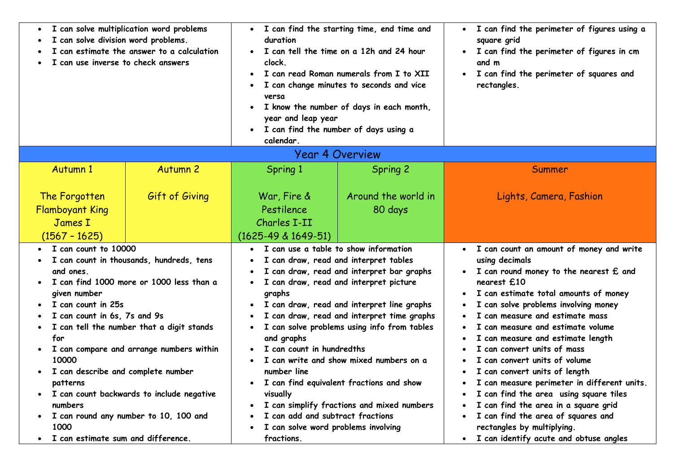| I can solve multiplication word problems<br>$\bullet$<br>I can solve division word problems.<br>can estimate the answer to a calculation<br>I can use inverse to check answers                                                                                            |                                                                                                                                                                                                                                                                     | I can find the starting time, end time and<br>$\bullet$<br>duration<br>I can tell the time on a 12h and 24 hour<br>clock.<br>I can read Roman numerals from I to XII<br>$\bullet$<br>I can change minutes to seconds and vice<br>versa<br>I know the number of days in each month,<br>$\bullet$<br>year and leap year<br>• I can find the number of days using a<br>calendar |                                                                                                                                                                                                                                                                                                                                                                                                              | I can find the perimeter of figures using a<br>$\bullet$<br>square grid<br>I can find the perimeter of figures in cm<br>and m<br>I can find the perimeter of squares and<br>$\bullet$<br>rectangles.                                                                                                                                                                                                                                                                                                                                                                                                                                                                             |
|---------------------------------------------------------------------------------------------------------------------------------------------------------------------------------------------------------------------------------------------------------------------------|---------------------------------------------------------------------------------------------------------------------------------------------------------------------------------------------------------------------------------------------------------------------|------------------------------------------------------------------------------------------------------------------------------------------------------------------------------------------------------------------------------------------------------------------------------------------------------------------------------------------------------------------------------|--------------------------------------------------------------------------------------------------------------------------------------------------------------------------------------------------------------------------------------------------------------------------------------------------------------------------------------------------------------------------------------------------------------|----------------------------------------------------------------------------------------------------------------------------------------------------------------------------------------------------------------------------------------------------------------------------------------------------------------------------------------------------------------------------------------------------------------------------------------------------------------------------------------------------------------------------------------------------------------------------------------------------------------------------------------------------------------------------------|
|                                                                                                                                                                                                                                                                           |                                                                                                                                                                                                                                                                     |                                                                                                                                                                                                                                                                                                                                                                              | <b>Year 4 Overview</b>                                                                                                                                                                                                                                                                                                                                                                                       |                                                                                                                                                                                                                                                                                                                                                                                                                                                                                                                                                                                                                                                                                  |
| Autumn 1                                                                                                                                                                                                                                                                  | <b>Autumn 2</b>                                                                                                                                                                                                                                                     | Spring 1                                                                                                                                                                                                                                                                                                                                                                     | Spring 2                                                                                                                                                                                                                                                                                                                                                                                                     | Summer                                                                                                                                                                                                                                                                                                                                                                                                                                                                                                                                                                                                                                                                           |
| The Forgotten<br><b>Flamboyant King</b><br>James I<br>$(1567 - 1625)$                                                                                                                                                                                                     | Gift of Giving                                                                                                                                                                                                                                                      | War, Fire &<br>Pestilence<br>Charles I-II<br>$(1625-49 \& 1649-51)$                                                                                                                                                                                                                                                                                                          | Around the world in<br>80 days                                                                                                                                                                                                                                                                                                                                                                               | Lights, Camera, Fashion                                                                                                                                                                                                                                                                                                                                                                                                                                                                                                                                                                                                                                                          |
| I can count to 10000<br>and ones.<br>given number<br>I can count in 25s<br>I can count in 6s, 7s and 9s<br>for<br>$\bullet$<br>10000<br>I can describe and complete number<br>$\bullet$<br>patterns<br>$\bullet$<br>numbers<br>1000<br>I can estimate sum and difference. | I can count in thousands, hundreds, tens<br>I can find 1000 more or 1000 less than a<br>I can tell the number that a digit stands<br>I can compare and arrange numbers within<br>I can count backwards to include negative<br>I can round any number to 10, 100 and | I can use a table to show information<br>graphs<br>$\bullet$<br>and graphs<br>I can count in hundredths<br>number line<br>visually<br>٠<br>I can add and subtract fractions<br>I can solve word problems involving<br>fractions.                                                                                                                                             | I can draw, read and interpret tables<br>I can draw, read and interpret bar graphs<br>I can draw, read and interpret picture<br>I can draw, read and interpret line graphs<br>I can draw, read and interpret time graphs<br>I can solve problems using info from tables<br>I can write and show mixed numbers on a<br>I can find equivalent fractions and show<br>I can simplify fractions and mixed numbers | • I can count an amount of money and write<br>using decimals<br>I can round money to the nearest £ and<br>nearest £10<br>I can estimate total amounts of money<br>I can solve problems involving money<br>I can measure and estimate mass<br>I can measure and estimate volume<br>I can measure and estimate length<br>I can convert units of mass<br>I can convert units of volume<br>I can convert units of length<br>I can measure perimeter in different units.<br>I can find the area using square tiles<br>I can find the area in a square grid<br>I can find the area of squares and<br>rectangles by multiplying.<br>I can identify acute and obtuse angles<br>$\bullet$ |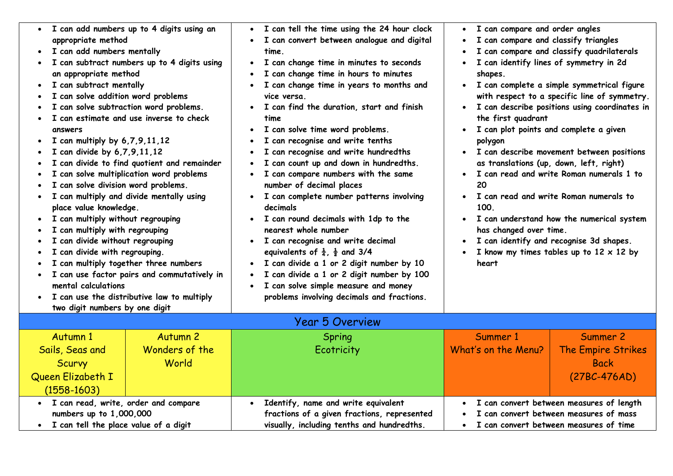| appropriate method<br>I can add numbers mentally<br>an appropriate method<br>I can subtract mentally<br>I can solve addition word problems<br>answers<br>I can multiply by $6,7,9,11,12$<br>I can divide by 6,7,9,11,12<br>I can solve division word problems.<br>place value knowledge.<br>I can multiply without regrouping<br>I can multiply with regrouping<br>I can divide without regrouping<br>I can divide with regrouping.<br>mental calculations | • I can add numbers up to 4 digits using an<br>I can subtract numbers up to 4 digits using<br>I can solve subtraction word problems.<br>I can estimate and use inverse to check<br>I can divide to find quotient and remainder<br>I can solve multiplication word problems<br>I can multiply and divide mentally using<br>I can multiply together three numbers<br>I can use factor pairs and commutatively in<br>I can use the distributive law to multiply | I can tell the time using the 24 hour clock<br>I can convert between analogue and digital<br>time.<br>I can change time in minutes to seconds<br>I can change time in hours to minutes<br>I can change time in years to months and<br>vice versa.<br>I can find the duration, start and finish<br>time<br>I can solve time word problems.<br>$\bullet$<br>I can recognise and write tenths<br>I can recognise and write hundredths<br>I can count up and down in hundredths.<br>I can compare numbers with the same<br>number of decimal places<br>I can complete number patterns involving<br>decimals<br>I can round decimals with 1dp to the<br>$\bullet$<br>nearest whole number<br>I can recognise and write decimal<br>$\bullet$<br>equivalents of $\frac{1}{4}$ , $\frac{1}{2}$ and 3/4<br>I can divide a 1 or 2 digit number by 10<br>$\bullet$<br>I can divide a 1 or 2 digit number by 100<br>I can solve simple measure and money<br>$\bullet$<br>problems involving decimals and fractions. | I can compare and order angles<br>I can compare and classify triangles<br>I can compare and classify quadrilaterals<br>I can identify lines of symmetry in 2d<br>shapes.<br>I can complete a simple symmetrical figure<br>with respect to a specific line of symmetry.<br>I can describe positions using coordinates in<br>the first quadrant<br>I can plot points and complete a given<br>polygon<br>I can describe movement between positions<br>as translations (up, down, left, right)<br>I can read and write Roman numerals 1 to<br>20<br>I can read and write Roman numerals to<br>100.<br>I can understand how the numerical system<br>has changed over time.<br>I can identify and recognise 3d shapes.<br>I know my times tables up to $12 \times 12$ by<br>heart |                                                                                    |
|------------------------------------------------------------------------------------------------------------------------------------------------------------------------------------------------------------------------------------------------------------------------------------------------------------------------------------------------------------------------------------------------------------------------------------------------------------|--------------------------------------------------------------------------------------------------------------------------------------------------------------------------------------------------------------------------------------------------------------------------------------------------------------------------------------------------------------------------------------------------------------------------------------------------------------|---------------------------------------------------------------------------------------------------------------------------------------------------------------------------------------------------------------------------------------------------------------------------------------------------------------------------------------------------------------------------------------------------------------------------------------------------------------------------------------------------------------------------------------------------------------------------------------------------------------------------------------------------------------------------------------------------------------------------------------------------------------------------------------------------------------------------------------------------------------------------------------------------------------------------------------------------------------------------------------------------------|-----------------------------------------------------------------------------------------------------------------------------------------------------------------------------------------------------------------------------------------------------------------------------------------------------------------------------------------------------------------------------------------------------------------------------------------------------------------------------------------------------------------------------------------------------------------------------------------------------------------------------------------------------------------------------------------------------------------------------------------------------------------------------|------------------------------------------------------------------------------------|
| two digit numbers by one digit                                                                                                                                                                                                                                                                                                                                                                                                                             |                                                                                                                                                                                                                                                                                                                                                                                                                                                              |                                                                                                                                                                                                                                                                                                                                                                                                                                                                                                                                                                                                                                                                                                                                                                                                                                                                                                                                                                                                         |                                                                                                                                                                                                                                                                                                                                                                                                                                                                                                                                                                                                                                                                                                                                                                             |                                                                                    |
|                                                                                                                                                                                                                                                                                                                                                                                                                                                            |                                                                                                                                                                                                                                                                                                                                                                                                                                                              | <b>Year 5 Overview</b>                                                                                                                                                                                                                                                                                                                                                                                                                                                                                                                                                                                                                                                                                                                                                                                                                                                                                                                                                                                  |                                                                                                                                                                                                                                                                                                                                                                                                                                                                                                                                                                                                                                                                                                                                                                             |                                                                                    |
| Autumn 1<br>Sails, Seas and<br><b>Scurvy</b><br>Queen Elizabeth I<br>$(1558 - 1603)$                                                                                                                                                                                                                                                                                                                                                                       | <b>Autumn 2</b><br>Wonders of the<br>World                                                                                                                                                                                                                                                                                                                                                                                                                   | Spring<br>Ecotricity                                                                                                                                                                                                                                                                                                                                                                                                                                                                                                                                                                                                                                                                                                                                                                                                                                                                                                                                                                                    | Summer 1<br>What's on the Menu?                                                                                                                                                                                                                                                                                                                                                                                                                                                                                                                                                                                                                                                                                                                                             | Summer 2<br><b>The Empire Strikes</b><br><b>Back</b><br>$(27BC-476AD)$             |
| · I can read, write, order and compare<br>numbers up to 1,000,000<br>· I can tell the place value of a digit                                                                                                                                                                                                                                                                                                                                               |                                                                                                                                                                                                                                                                                                                                                                                                                                                              | Identify, name and write equivalent<br>$\bullet$<br>fractions of a given fractions, represented<br>visually, including tenths and hundredths.                                                                                                                                                                                                                                                                                                                                                                                                                                                                                                                                                                                                                                                                                                                                                                                                                                                           | • I can convert between measures of time                                                                                                                                                                                                                                                                                                                                                                                                                                                                                                                                                                                                                                                                                                                                    | I can convert between measures of length<br>I can convert between measures of mass |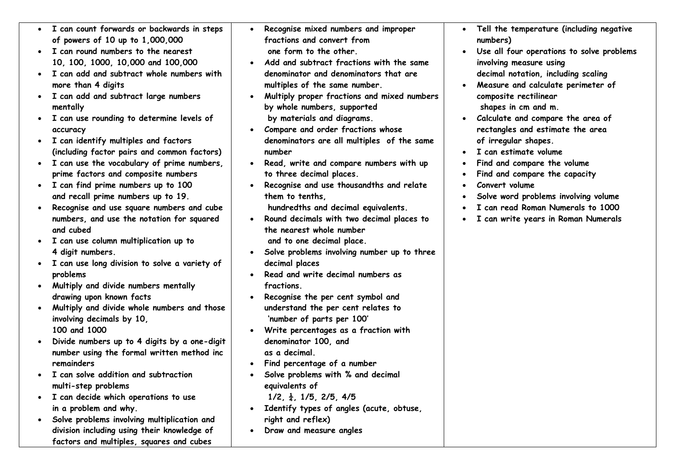|           | • I can count forwards or backwards in steps<br>of powers of 10 up to 1,000,000 | $\bullet$ | Recognise mixed numbers and improper<br>fractions and convert from   | . Tell the temperature (including negative      |
|-----------|---------------------------------------------------------------------------------|-----------|----------------------------------------------------------------------|-------------------------------------------------|
|           | I can round numbers to the nearest                                              |           | one form to the other.                                               | numbers)                                        |
|           |                                                                                 |           | Add and subtract fractions with the same                             | Use all four operations to solve problems       |
|           | 10, 100, 1000, 10,000 and 100,000<br>I can add and subtract whole numbers with  |           |                                                                      | involving measure using                         |
|           |                                                                                 |           | denominator and denominators that are                                | decimal notation, including scaling             |
|           | more than 4 digits                                                              |           | multiples of the same number.                                        | Measure and calculate perimeter of              |
|           | I can add and subtract large numbers                                            |           | Multiply proper fractions and mixed numbers                          | composite rectilinear                           |
|           | mentally                                                                        |           | by whole numbers, supported                                          | shapes in cm and m.                             |
|           | I can use rounding to determine levels of                                       |           | by materials and diagrams.                                           | • Calculate and compare the area of             |
|           | accuracy                                                                        |           | Compare and order fractions whose                                    | rectangles and estimate the area                |
|           | I can identify multiples and factors                                            |           | denominators are all multiples of the same<br>number                 | of irregular shapes.                            |
|           | (including factor pairs and common factors)                                     |           |                                                                      | I can estimate volume                           |
|           | I can use the vocabulary of prime numbers,                                      |           | Read, write and compare numbers with up                              | Find and compare the volume                     |
|           | prime factors and composite numbers<br>I can find prime numbers up to 100       |           | to three decimal places.<br>Recognise and use thousandths and relate | Find and compare the capacity<br>Convert volume |
|           | and recall prime numbers up to 19.                                              |           | them to tenths.                                                      | Solve word problems involving volume            |
|           | Recognise and use square numbers and cube                                       |           | hundredths and decimal equivalents.                                  | I can read Roman Numerals to 1000               |
|           | numbers, and use the notation for squared                                       |           | Round decimals with two decimal places to                            | I can write years in Roman Numerals             |
|           | and cubed                                                                       |           | the nearest whole number                                             |                                                 |
|           | I can use column multiplication up to                                           |           | and to one decimal place.                                            |                                                 |
|           | 4 digit numbers.                                                                |           | Solve problems involving number up to three                          |                                                 |
|           | I can use long division to solve a variety of                                   |           | decimal places                                                       |                                                 |
|           | problems                                                                        |           | Read and write decimal numbers as                                    |                                                 |
|           | Multiply and divide numbers mentally                                            |           | fractions.                                                           |                                                 |
|           | drawing upon known facts                                                        |           | Recognise the per cent symbol and                                    |                                                 |
|           | Multiply and divide whole numbers and those                                     |           | understand the per cent relates to                                   |                                                 |
|           | involving decimals by 10,                                                       |           | 'number of parts per 100'                                            |                                                 |
|           | 100 and 1000                                                                    |           | Write percentages as a fraction with                                 |                                                 |
|           | Divide numbers up to 4 digits by a one-digit                                    |           | denominator 100, and                                                 |                                                 |
|           | number using the formal written method inc                                      |           | as a decimal.                                                        |                                                 |
|           | remainders                                                                      |           | Find percentage of a number                                          |                                                 |
|           | • I can solve addition and subtraction                                          |           | Solve problems with % and decimal                                    |                                                 |
|           | multi-step problems                                                             |           | equivalents of                                                       |                                                 |
|           | I can decide which operations to use                                            |           | $1/2, \frac{1}{4}, 1/5, 2/5, 4/5$                                    |                                                 |
|           | in a problem and why.                                                           |           | Identify types of angles (acute, obtuse,                             |                                                 |
| $\bullet$ | Solve problems involving multiplication and                                     |           | right and reflex)                                                    |                                                 |
|           | division including using their knowledge of                                     |           | Draw and measure angles                                              |                                                 |
|           | factors and multiples, squares and cubes                                        |           |                                                                      |                                                 |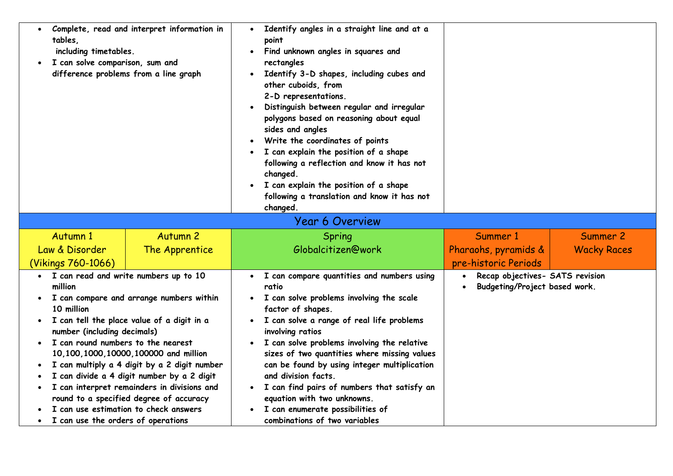| tables.                                                                                                                                                                     | Complete, read and interpret information in<br>Identify angles in a straight line and at a<br>$\bullet$<br>point<br>including timetables.<br>Find unknown angles in squares and<br>$\bullet$<br>I can solve comparison, sum and<br>rectangles<br>difference problems from a line graph<br>Identify 3-D shapes, including cubes and<br>other cuboids, from<br>2-D representations.<br>Distinguish between regular and irregular<br>polygons based on reasoning about equal<br>sides and angles<br>Write the coordinates of points<br>I can explain the position of a shape<br>$\bullet$<br>following a reflection and know it has not<br>changed.<br>I can explain the position of a shape<br>following a translation and know it has not<br>changed. |                                                                                                                                                                                                                                                                                                                                                                                                                                                                                                                                            |                                                                               |                    |
|-----------------------------------------------------------------------------------------------------------------------------------------------------------------------------|------------------------------------------------------------------------------------------------------------------------------------------------------------------------------------------------------------------------------------------------------------------------------------------------------------------------------------------------------------------------------------------------------------------------------------------------------------------------------------------------------------------------------------------------------------------------------------------------------------------------------------------------------------------------------------------------------------------------------------------------------|--------------------------------------------------------------------------------------------------------------------------------------------------------------------------------------------------------------------------------------------------------------------------------------------------------------------------------------------------------------------------------------------------------------------------------------------------------------------------------------------------------------------------------------------|-------------------------------------------------------------------------------|--------------------|
|                                                                                                                                                                             |                                                                                                                                                                                                                                                                                                                                                                                                                                                                                                                                                                                                                                                                                                                                                      | <b>Year 6 Overview</b>                                                                                                                                                                                                                                                                                                                                                                                                                                                                                                                     |                                                                               |                    |
| <b>Autumn 1</b>                                                                                                                                                             | <b>Autumn 2</b>                                                                                                                                                                                                                                                                                                                                                                                                                                                                                                                                                                                                                                                                                                                                      | Spring                                                                                                                                                                                                                                                                                                                                                                                                                                                                                                                                     | Summer 1                                                                      | Summer 2           |
| Law & Disorder<br>(Vikings 760-1066)                                                                                                                                        | The Apprentice                                                                                                                                                                                                                                                                                                                                                                                                                                                                                                                                                                                                                                                                                                                                       | Globalcitizen@work                                                                                                                                                                                                                                                                                                                                                                                                                                                                                                                         | Pharaohs, pyramids &<br>pre-historic Periods                                  | <b>Wacky Races</b> |
| • I can read and write numbers up to 10<br>million<br>10 million<br>number (including decimals)<br>I can round numbers to the nearest<br>I can use the orders of operations | I can compare and arrange numbers within<br>I can tell the place value of a digit in a<br>10,100,1000,10000,100000 and million<br>I can multiply a 4 digit by a 2 digit number<br>I can divide a 4 digit number by a 2 digit<br>I can interpret remainders in divisions and<br>round to a specified degree of accuracy<br>I can use estimation to check answers                                                                                                                                                                                                                                                                                                                                                                                      | • I can compare quantities and numbers using<br>ratio<br>I can solve problems involving the scale<br>factor of shapes.<br>I can solve a range of real life problems<br>$\bullet$<br>involving ratios<br>I can solve problems involving the relative<br>$\bullet$<br>sizes of two quantities where missing values<br>can be found by using integer multiplication<br>and division facts.<br>I can find pairs of numbers that satisfy an<br>equation with two unknowns.<br>I can enumerate possibilities of<br>combinations of two variables | Recap objectives- SATS revision<br>$\bullet$<br>Budgeting/Project based work. |                    |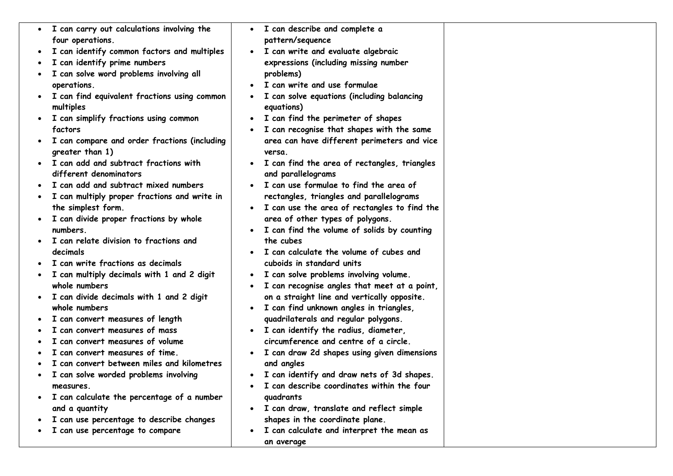| • I can carry out calculations involving the                    | $\bullet$ | I can describe and complete a                         |  |
|-----------------------------------------------------------------|-----------|-------------------------------------------------------|--|
| four operations.                                                |           | pattern/sequence                                      |  |
| I can identify common factors and multiples                     | $\bullet$ | I can write and evaluate algebraic                    |  |
| I can identify prime numbers                                    |           | expressions (including missing number                 |  |
| I can solve word problems involving all                         |           | problems)                                             |  |
| operations.                                                     |           | I can write and use formulae                          |  |
| I can find equivalent fractions using common                    |           | I can solve equations (including balancing            |  |
| multiples                                                       |           | equations)                                            |  |
| I can simplify fractions using common                           | $\bullet$ | I can find the perimeter of shapes                    |  |
| factors                                                         |           | I can recognise that shapes with the same             |  |
| I can compare and order fractions (including<br>greater than 1) |           | area can have different perimeters and vice<br>versa. |  |
| I can add and subtract fractions with                           |           | I can find the area of rectangles, triangles          |  |
| different denominators                                          |           | and parallelograms                                    |  |
| I can add and subtract mixed numbers                            |           | I can use formulae to find the area of                |  |
| I can multiply proper fractions and write in                    |           | rectangles, triangles and parallelograms              |  |
| the simplest form.                                              | $\bullet$ | I can use the area of rectangles to find the          |  |
| I can divide proper fractions by whole                          |           | area of other types of polygons.                      |  |
| numbers.                                                        |           | I can find the volume of solids by counting           |  |
| I can relate division to fractions and                          |           | the cubes                                             |  |
| decimals                                                        |           | I can calculate the volume of cubes and               |  |
| I can write fractions as decimals                               |           | cuboids in standard units                             |  |
| I can multiply decimals with 1 and 2 digit                      | $\bullet$ | I can solve problems involving volume.                |  |
| whole numbers                                                   |           | I can recognise angles that meet at a point,          |  |
| I can divide decimals with 1 and 2 digit                        |           | on a straight line and vertically opposite.           |  |
| whole numbers                                                   | $\bullet$ | I can find unknown angles in triangles,               |  |
| I can convert measures of length                                |           | quadrilaterals and regular polygons.                  |  |
| I can convert measures of mass                                  | $\bullet$ | I can identify the radius, diameter,                  |  |
| can convert measures of volume                                  |           | circumference and centre of a circle.                 |  |
| I can convert measures of time.                                 |           | I can draw 2d shapes using given dimensions           |  |
| I can convert between miles and kilometres                      |           | and angles                                            |  |
| I can solve worded problems involving                           | $\bullet$ | I can identify and draw nets of 3d shapes.            |  |
| measures.                                                       |           | I can describe coordinates within the four            |  |
| I can calculate the percentage of a number                      |           | quadrants                                             |  |
| and a quantity                                                  |           | • I can draw, translate and reflect simple            |  |
| I can use percentage to describe changes                        |           | shapes in the coordinate plane.                       |  |
| I can use percentage to compare                                 |           | I can calculate and interpret the mean as             |  |
|                                                                 |           | an average                                            |  |